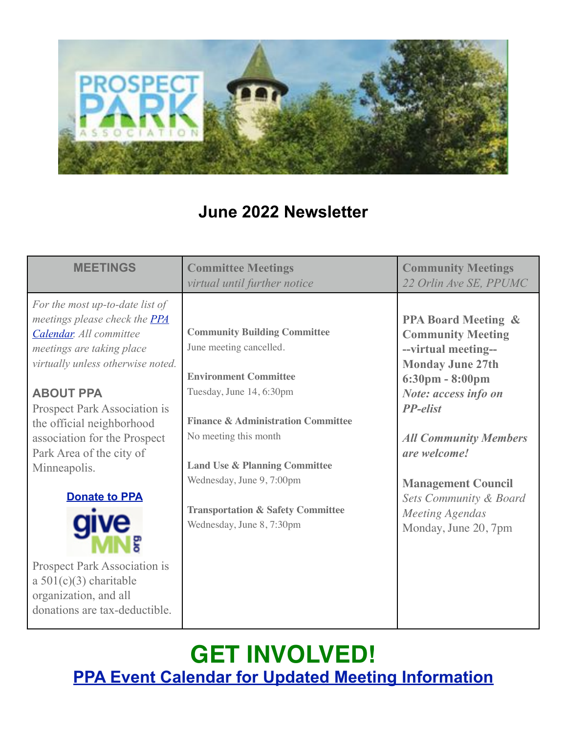

### **June 2022 Newsletter**

| <b>MEETINGS</b>                                                                                                                                                                                                                                                                                                                                                                                                                                                                        | <b>Committee Meetings</b><br>virtual until further notice                                                                                                                                                                                                                                                                                                  | <b>Community Meetings</b><br>22 Orlin Ave SE, PPUMC                                                                                                                                                                                                                                                                                                              |
|----------------------------------------------------------------------------------------------------------------------------------------------------------------------------------------------------------------------------------------------------------------------------------------------------------------------------------------------------------------------------------------------------------------------------------------------------------------------------------------|------------------------------------------------------------------------------------------------------------------------------------------------------------------------------------------------------------------------------------------------------------------------------------------------------------------------------------------------------------|------------------------------------------------------------------------------------------------------------------------------------------------------------------------------------------------------------------------------------------------------------------------------------------------------------------------------------------------------------------|
| For the most up-to-date list of<br>meetings please check the <b>PPA</b><br>Calendar. All committee<br>meetings are taking place<br>virtually unless otherwise noted.<br><b>ABOUT PPA</b><br>Prospect Park Association is<br>the official neighborhood<br>association for the Prospect<br>Park Area of the city of<br>Minneapolis.<br><b>Donate to PPA</b><br><b>Prospect Park Association is</b><br>a $501(c)(3)$ charitable<br>organization, and all<br>donations are tax-deductible. | <b>Community Building Committee</b><br>June meeting cancelled.<br><b>Environment Committee</b><br>Tuesday, June 14, 6:30pm<br><b>Finance &amp; Administration Committee</b><br>No meeting this month<br><b>Land Use &amp; Planning Committee</b><br>Wednesday, June 9, 7:00pm<br><b>Transportation &amp; Safety Committee</b><br>Wednesday, June 8, 7:30pm | <b>PPA Board Meeting &amp;</b><br><b>Community Meeting</b><br>--virtual meeting--<br><b>Monday June 27th</b><br>$6:30 \text{pm} - 8:00 \text{pm}$<br>Note: access info on<br><b>PP-elist</b><br><b>All Community Members</b><br>are welcome!<br><b>Management Council</b><br><b>Sets Community &amp; Board</b><br><b>Meeting Agendas</b><br>Monday, June 20, 7pm |

## **GET INVOLVED! [PPA Event Calendar for Updated Meeting Information](https://pperr.us7.list-manage.com/track/click?u=8a12b3152d8f70e97e090b501&id=bc6c53bb43&e=a8986a34c9)**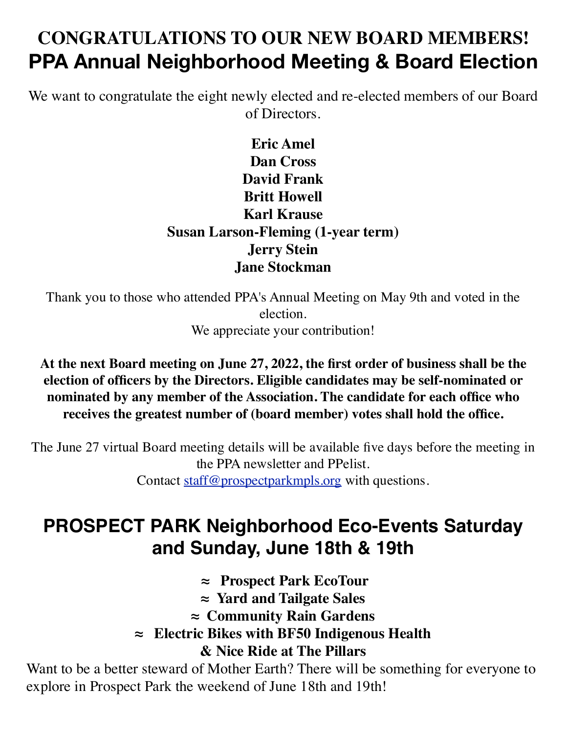## **CONGRATULATIONS TO OUR NEW BOARD MEMBERS! PPA Annual Neighborhood Meeting & Board Election**

We want to congratulate the eight newly elected and re-elected members of our Board of Directors.

#### **Eric Amel Dan Cross David Frank Britt Howell Karl Krause Susan Larson-Fleming (1-year term) Jerry Stein Jane Stockman**

Thank you to those who attended PPA's Annual Meeting on May 9th and voted in the election.

We appreciate your contribution!

**At the next Board meeting on June 27, 2022, the first order of business shall be the election of officers by the Directors. Eligible candidates may be self-nominated or nominated by any member of the Association. The candidate for each office who receives the greatest number of (board member) votes shall hold the office.**

The June 27 virtual Board meeting details will be available five days before the meeting in the PPA newsletter and PPelist. Contact [staff@prospectparkmpls.org](mailto:staff@prospectparkmpls.org) with questions.

### **PROSPECT PARK Neighborhood Eco-Events Saturday and Sunday, June 18th & 19th**

 **≈ Prospect Park EcoTour**

**≈ Yard and Tailgate Sales**

**≈ Community Rain Gardens** 

**≈ Electric Bikes with BF50 Indigenous Health & Nice Ride at The Pillars**

Want to be a better steward of Mother Earth? There will be something for everyone to explore in Prospect Park the weekend of June 18th and 19th!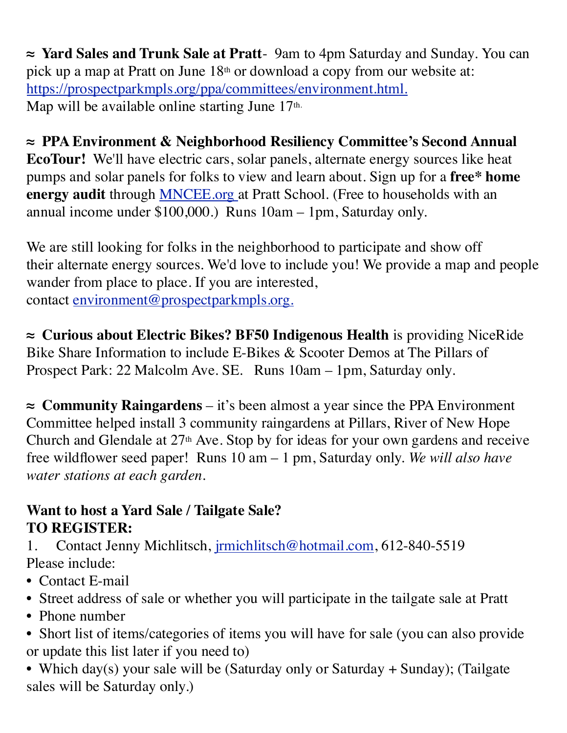**≈ Yard Sales and Trunk Sale at Pratt**- 9am to 4pm Saturday and Sunday. You can pick up a map at Pratt on June  $18<sup>th</sup>$  or download a copy from our website at: [https://prospectparkmpls.org/ppa/committees/environment.html](https://pperr.us7.list-manage.com/track/click?u=8a12b3152d8f70e97e090b501&id=a360300a4c&e=511326cf8f)[.](https://pperr.us7.list-manage.com/track/click?u=8a12b3152d8f70e97e090b501&id=f2687a9e5e&e=511326cf8f) Map will be available online starting June 17<sup>th.</sup>

**≈ PPA Environment & Neighborhood Resiliency Committee's Second Annual EcoTour!** We'll have electric cars, solar panels, alternate energy sources like heat pumps and solar panels for folks to view and learn about. Sign up for a **free\* home energy audit** through [MNCEE.org](https://pperr.us7.list-manage.com/track/click?u=8a12b3152d8f70e97e090b501&id=619a4f2743&e=511326cf8f) at Pratt School. (Free to households with an annual income under \$100,000.) Runs 10am – 1pm, Saturday only.

We are still looking for folks in the neighborhood to participate and show off their alternate energy sources. We'd love to include you! We provide a map and people wander from place to place. If you are interested, contact [environment@prospectparkmpls.org](mailto:environment@prospectparkmpls.org)[.](mailto:https://www.mncee.org/)

**≈ Curious about Electric Bikes? BF50 Indigenous Health** is providing NiceRide Bike Share Information to include E-Bikes & Scooter Demos at The Pillars of Prospect Park: 22 Malcolm Ave. SE. Runs 10am – 1pm, Saturday only.

**≈ Community Raingardens** – it's been almost a year since the PPA Environment Committee helped install 3 community raingardens at Pillars, River of New Hope Church and Glendale at 27<sup>th</sup> Ave. Stop by for ideas for your own gardens and receive free wildflower seed paper! Runs 10 am – 1 pm, Saturday only. *We will also have water stations at each garden.*

#### **Want to host a Yard Sale / Tailgate Sale? TO REGISTER:**

1. Contact Jenny Michlitsch, [jrmichlitsch@hotmail.com,](mailto:jrmichlitsch@hotmail.com) 612-840-5519 Please include:

- Contact E-mail
- Street address of sale or whether you will participate in the tailgate sale at Pratt
- Phone number
- Short list of items/categories of items you will have for sale (you can also provide or update this list later if you need to)
- Which day(s) your sale will be (Saturday only or Saturday + Sunday); (Tailgate sales will be Saturday only.)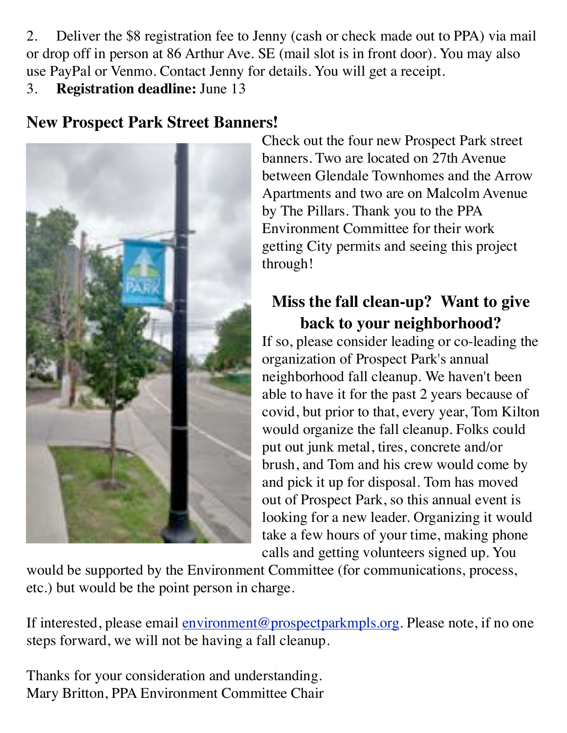2. Deliver the \$8 registration fee to Jenny (cash or check made out to PPA) via mail or drop off in person at 86 Arthur Ave. SE (mail slot is in front door). You may also use PayPal or Venmo. Contact Jenny for details. You will get a receipt.

3. **Registration deadline:** June 13

### **New Prospect Park Street Banners!**



Check out the four new Prospect Park street banners. Two are located on 27th Avenue between Glendale Townhomes and the Arrow Apartments and two are on Malcolm Avenue by The Pillars. Thank you to the PPA Environment Committee for their work getting City permits and seeing this project through!

### **Miss the fall clean-up? Want to give back to your neighborhood?**

If so, please consider leading or co-leading the organization of Prospect Park's annual neighborhood fall cleanup. We haven't been able to have it for the past 2 years because of covid, but prior to that, every year, Tom Kilton would organize the fall cleanup. Folks could put out junk metal, tires, concrete and/or brush, and Tom and his crew would come by and pick it up for disposal. Tom has moved out of Prospect Park, so this annual event is looking for a new leader. Organizing it would take a few hours of your time, making phone calls and getting volunteers signed up. You

would be supported by the Environment Committee (for communications, process, etc.) but would be the point person in charge.

If interested, please email [environment@prospectparkmpls.org.](mailto:environment@prospectparkmpls.org) Please note, if no one steps forward, we will not be having a fall cleanup.

Thanks for your consideration and understanding. Mary Britton, PPA Environment Committee Chair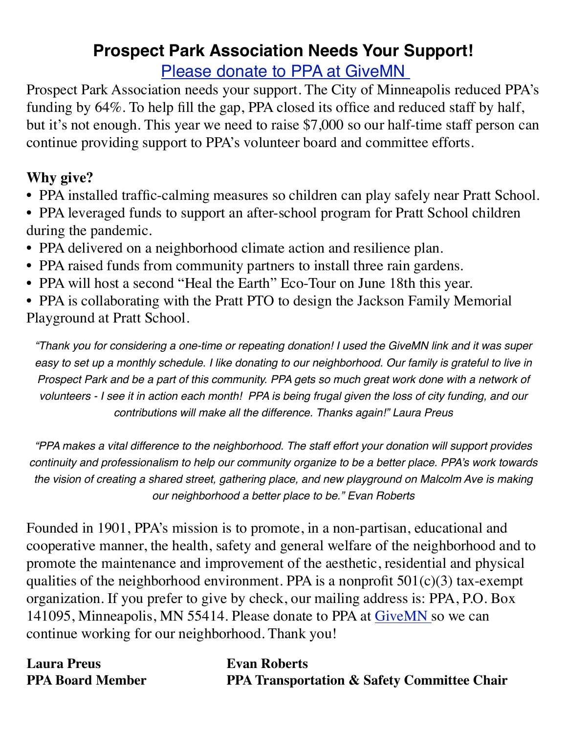### **Prospect Park Association Needs Your Support!** [Please donate to PPA at GiveMN](https://pperr.us7.list-manage.com/track/click?u=8a12b3152d8f70e97e090b501&id=d1bb18ab8a&e=511326cf8f)

Prospect Park Association needs your support. The City of Minneapolis reduced PPA's funding by 64%. To help fill the gap, PPA closed its office and reduced staff by half, but it's not enough. This year we need to raise \$7,000 so our half-time staff person can continue providing support to PPA's volunteer board and committee efforts.

#### **Why give?**

- PPA installed traffic-calming measures so children can play safely near Pratt School.
- **•** PPA leveraged funds to support an after-school program for Pratt School children during the pandemic.
- **•** PPA delivered on a neighborhood climate action and resilience plan.
- PPA raised funds from community partners to install three rain gardens.
- **•** PPA will host a second "Heal the Earth" Eco-Tour on June 18th this year.

**•** PPA is collaborating with the Pratt PTO to design the Jackson Family Memorial Playground at Pratt School.

*"Thank you for considering a one-time or repeating donation! I used the GiveMN link and it was super easy to set up a monthly schedule. I like donating to our neighborhood. Our family is grateful to live in Prospect Park and be a part of this community. PPA gets so much great work done with a network of volunteers - I see it in action each month! PPA is being frugal given the loss of city funding, and our contributions will make all the difference. Thanks again!" Laura Preus*

*"PPA makes a vital difference to the neighborhood. The staff effort your donation will support provides continuity and professionalism to help our community organize to be a better place. PPA's work towards the vision of creating a shared street, gathering place, and new playground on Malcolm Ave is making our neighborhood a better place to be." Evan Roberts*

Founded in 1901, PPA's mission is to promote, in a non-partisan, educational and cooperative manner, the health, safety and general welfare of the neighborhood and to promote the maintenance and improvement of the aesthetic, residential and physical qualities of the neighborhood environment. PPA is a nonprofit  $501(c)(3)$  tax-exempt organization. If you prefer to give by check, our mailing address is: PPA, P.O. Box 141095, Minneapolis, MN 55414. Please donate to PPA at [GiveMN](https://pperr.us7.list-manage.com/track/click?u=8a12b3152d8f70e97e090b501&id=ee19c9fec1&e=511326cf8f) so we can continue working for our neighborhood. Thank you!

| <b>Laura Preus</b>      | <b>Evan Roberts</b>                                    |
|-------------------------|--------------------------------------------------------|
| <b>PPA Board Member</b> | <b>PPA Transportation &amp; Safety Committee Chair</b> |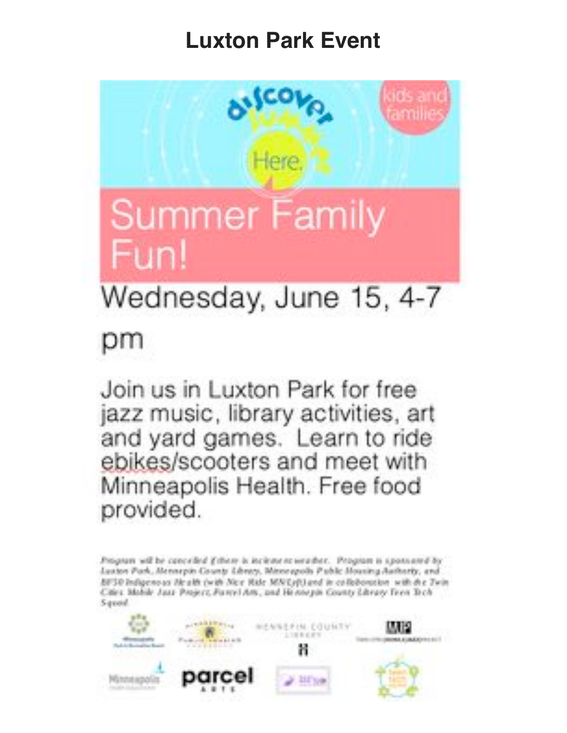# **Luxton Park Event**



# Wednesday, June 15, 4-7

# рm

Join us in Luxton Park for free jazz music, library activities, art and yard games. Learn to ride ebikes/scooters and meet with Minneapolis Health. Free food provided.

Program will be cancelled Ethere is incienter to weather. Program is sponsored by Luxton Park, Mensepin County Library, Minnespolis Public Mousing Authority, and BF30 Indigenous Health (with Nex Hide MN/Lyft) and in collaboration with the Twin Cities: Mobile Just: Project, Farmi Arts, and Henough County Library Teen Tech Squad

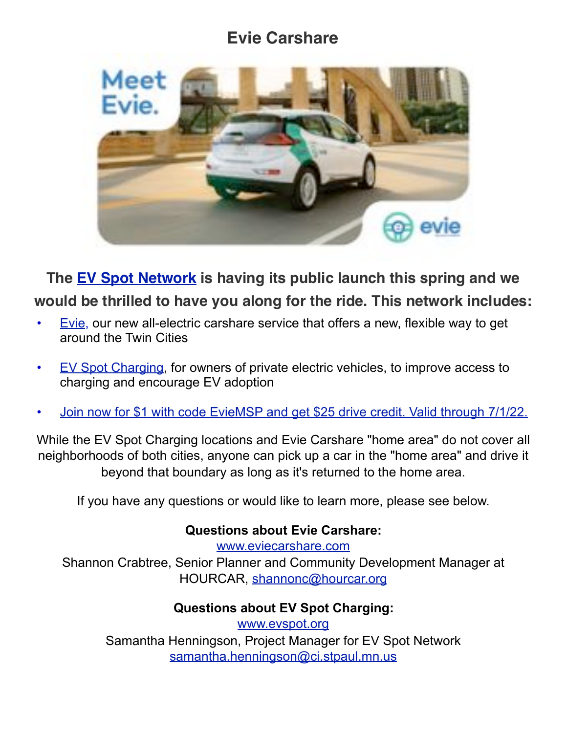### **Evie Carshare**



**The [EV Spot Network](https://pperr.us7.list-manage.com/track/click?u=8a12b3152d8f70e97e090b501&id=0634f335e7&e=511326cf8f) is having its public launch this spring and we would be thrilled to have you along for the ride. This network includes:**

- [Evie](https://pperr.us7.list-manage.com/track/click?u=8a12b3152d8f70e97e090b501&id=c2a54eddcb&e=511326cf8f), our new all-electric carshare service that offers a new, flexible way to get around the Twin Cities
- [EV Spot Charging,](https://pperr.us7.list-manage.com/track/click?u=8a12b3152d8f70e97e090b501&id=a097e28f4d&e=511326cf8f) for owners of private electric vehicles, to improve access to charging and encourage EV adoption
- [Join now for \\$1 with code EvieMSP and get \\$25 drive credit. Valid through 7/1/22.](https://pperr.us7.list-manage.com/track/click?u=8a12b3152d8f70e97e090b501&id=f4496e48c0&e=511326cf8f)

While the EV Spot Charging locations and Evie Carshare "home area" do not cover all neighborhoods of both cities, anyone can pick up a car in the "home area" and drive it beyond that boundary as long as it's returned to the home area.

If you have any questions or would like to learn more, please see below.

#### **Questions about Evie Carshare:**

[www.eviecarshare.com](https://pperr.us7.list-manage.com/track/click?u=8a12b3152d8f70e97e090b501&id=69541b9815&e=511326cf8f) Shannon Crabtree, Senior Planner and Community Development Manager at HOURCAR, [shannonc@hourcar.org](mailto:shannonc@hourcar.org)

#### **Questions about EV Spot Charging:**

[www.evspot.org](https://pperr.us7.list-manage.com/track/click?u=8a12b3152d8f70e97e090b501&id=3ae020b508&e=511326cf8f) Samantha Henningson, Project Manager for EV Spot Network [samantha.henningson@ci.stpaul.mn.us](mailto:samantha.henningson@ci.stpaul.mn.us)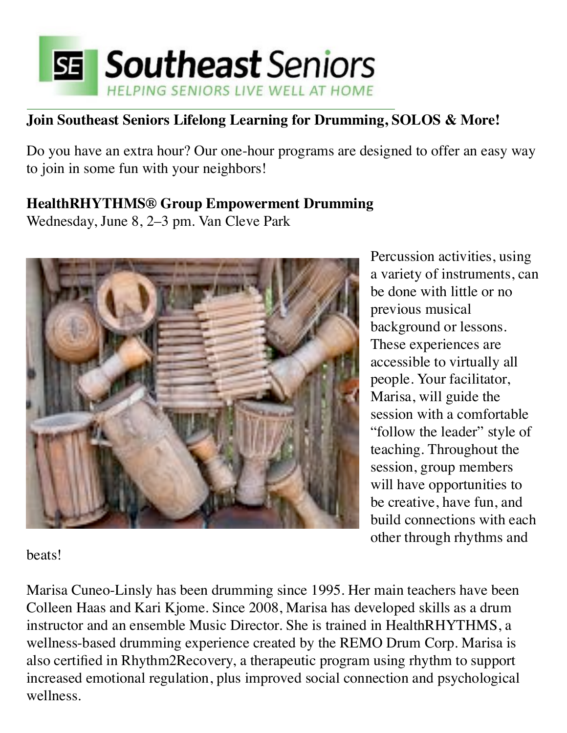

#### **Join Southeast Seniors Lifelong Learning for Drumming, SOLOS & More!**

Do you have an extra hour? Our one-hour programs are designed to offer an easy way to join in some fun with your neighbors!

#### **HealthRHYTHMS® Group Empowerment Drumming**

Wednesday, June 8, 2–3 pm. Van Cleve Park



Percussion activities, using a variety of instruments, can be done with little or no previous musical background or lessons. These experiences are accessible to virtually all people. Your facilitator, Marisa, will guide the session with a comfortable "follow the leader" style of teaching. Throughout the session, group members will have opportunities to be creative, have fun, and build connections with each other through rhythms and

beats!

Marisa Cuneo-Linsly has been drumming since 1995. Her main teachers have been Colleen Haas and Kari Kjome. Since 2008, Marisa has developed skills as a drum instructor and an ensemble Music Director. She is trained in HealthRHYTHMS, a wellness-based drumming experience created by the REMO Drum Corp. Marisa is also certified in Rhythm2Recovery, a therapeutic program using rhythm to support increased emotional regulation, plus improved social connection and psychological wellness.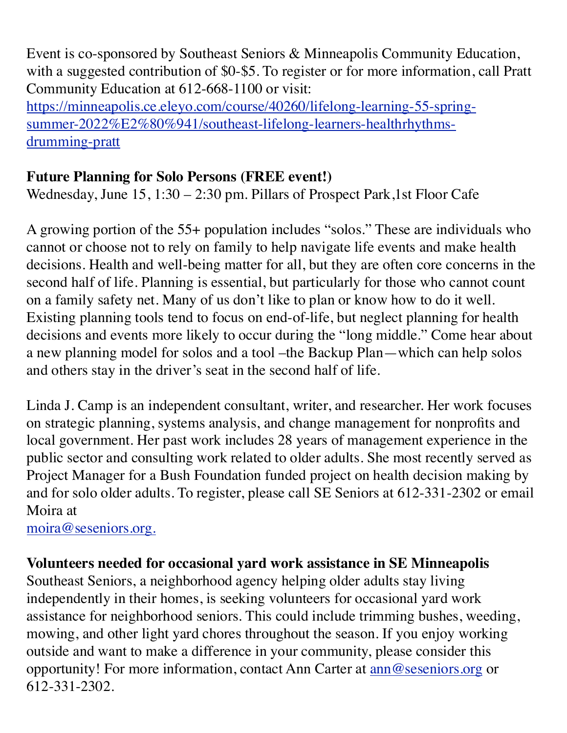Event is co-sponsored by Southeast Seniors & Minneapolis Community Education, with a suggested contribution of \$0-\$5. To register or for more information, call Pratt Community Education at 612-668-1100 or visit: [https://minneapolis.ce.eleyo.com/course/40260/lifelong-learning-55-spring-](https://pperr.us7.list-manage.com/track/click?u=8a12b3152d8f70e97e090b501&id=eb48f7c9fe&e=511326cf8f)

[summer-2022%E2%80%941/southeast-lifelong-learners-healthrhythms](https://pperr.us7.list-manage.com/track/click?u=8a12b3152d8f70e97e090b501&id=eb48f7c9fe&e=511326cf8f)[drumming-pratt](https://pperr.us7.list-manage.com/track/click?u=8a12b3152d8f70e97e090b501&id=eb48f7c9fe&e=511326cf8f)

#### **Future Planning for Solo Persons (FREE event!)**

Wednesday, June 15, 1:30 – 2:30 pm. Pillars of Prospect Park, 1st Floor Cafe

A growing portion of the 55+ population includes "solos." These are individuals who cannot or choose not to rely on family to help navigate life events and make health decisions. Health and well-being matter for all, but they are often core concerns in the second half of life. Planning is essential, but particularly for those who cannot count on a family safety net. Many of us don't like to plan or know how to do it well. Existing planning tools tend to focus on end-of-life, but neglect planning for health decisions and events more likely to occur during the "long middle." Come hear about a new planning model for solos and a tool –the Backup Plan—which can help solos and others stay in the driver's seat in the second half of life.

Linda J. Camp is an independent consultant, writer, and researcher. Her work focuses on strategic planning, systems analysis, and change management for nonprofits and local government. Her past work includes 28 years of management experience in the public sector and consulting work related to older adults. She most recently served as Project Manager for a Bush Foundation funded project on health decision making by and for solo older adults. To register, please call SE Seniors at 612-331-2302 or email Moira at

[moira@seseniors.org.](mailto:moira@seseniors.org.)

#### **Volunteers needed for occasional yard work assistance in SE Minneapolis**

Southeast Seniors, a neighborhood agency helping older adults stay living independently in their homes, is seeking volunteers for occasional yard work assistance for neighborhood seniors. This could include trimming bushes, weeding, mowing, and other light yard chores throughout the season. If you enjoy working outside and want to make a difference in your community, please consider this opportunity! For more information, contact Ann Carter at  $\frac{ann@sesenors.org}{1}$  or 612-331-2302.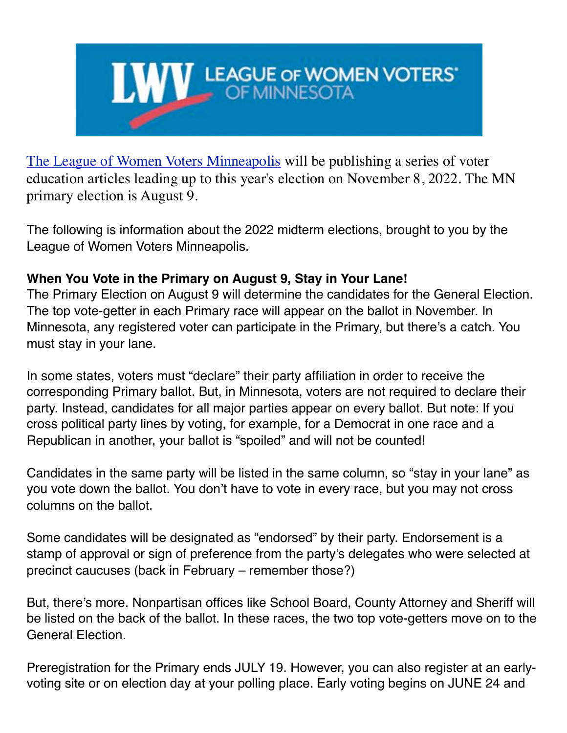

[The League of Women Voters Minneapolis](https://pperr.us7.list-manage.com/track/click?u=8a12b3152d8f70e97e090b501&id=92fad89b0d&e=511326cf8f) will be publishing a series of voter education articles leading up to this year's election on November 8, 2022. The MN primary election is August 9.

The following is information about the 2022 midterm elections, brought to you by the League of Women Voters Minneapolis.

#### **When You Vote in the Primary on August 9, Stay in Your Lane!**

The Primary Election on August 9 will determine the candidates for the General Election. The top vote-getter in each Primary race will appear on the ballot in November. In Minnesota, any registered voter can participate in the Primary, but there's a catch. You must stay in your lane.

In some states, voters must "declare" their party affiliation in order to receive the corresponding Primary ballot. But, in Minnesota, voters are not required to declare their party. Instead, candidates for all major parties appear on every ballot. But note: If you cross political party lines by voting, for example, for a Democrat in one race and a Republican in another, your ballot is "spoiled" and will not be counted!

Candidates in the same party will be listed in the same column, so "stay in your lane" as you vote down the ballot. You don't have to vote in every race, but you may not cross columns on the ballot.

Some candidates will be designated as "endorsed" by their party. Endorsement is a stamp of approval or sign of preference from the party's delegates who were selected at precinct caucuses (back in February – remember those?)

But, there's more. Nonpartisan offices like School Board, County Attorney and Sheriff will be listed on the back of the ballot. In these races, the two top vote-getters move on to the General Election.

Preregistration for the Primary ends JULY 19. However, you can also register at an earlyvoting site or on election day at your polling place. Early voting begins on JUNE 24 and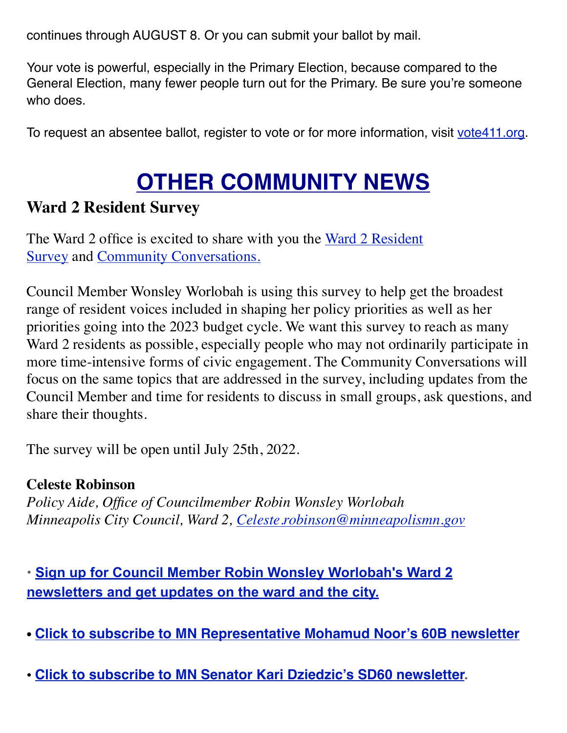continues through AUGUST 8. Or you can submit your ballot by mail.

Your vote is powerful, especially in the Primary Election, because compared to the General Election, many fewer people turn out for the Primary. Be sure you're someone who does.

To request an absentee ballot, register to vote or for more information, visit [vote411.org](http://vote411.org/).

# **OTHER COMMUNITY NEWS**

#### **Ward 2 Resident Survey**

The Ward 2 office is excited to share with you the [Ward 2 Resident](https://pperr.us7.list-manage.com/track/click?u=8a12b3152d8f70e97e090b501&id=cd71f74d00&e=511326cf8f)  [Survey](https://pperr.us7.list-manage.com/track/click?u=8a12b3152d8f70e97e090b501&id=cd71f74d00&e=511326cf8f) and [Community Conversations](https://pperr.us7.list-manage.com/track/click?u=8a12b3152d8f70e97e090b501&id=4efd235b05&e=511326cf8f)[.](https://pperr.us7.list-manage.com/track/click?u=8a12b3152d8f70e97e090b501&id=4fb0bebbd3&e=511326cf8f)

Council Member Wonsley Worlobah is using this survey to help get the broadest range of resident voices included in shaping her policy priorities as well as her priorities going into the 2023 budget cycle. We want this survey to reach as many Ward 2 residents as possible, especially people who may not ordinarily participate in more time-intensive forms of civic engagement. The Community Conversations will focus on the same topics that are addressed in the survey, including updates from the Council Member and time for residents to discuss in small groups, ask questions, and share their thoughts.

The survey will be open until July 25th, 2022.

#### **Celeste Robinson**

*Policy Aide, Office of Councilmember Robin Wonsley Worlobah Minneapolis City Council, Ward 2, [Celeste.robinson@minneapolismn.gov](mailto:Celeste.robinson@minneapolismn.gov)*

**•[Sign up for Council Member Robin Wonsley Worlobah's Ward 2](https://pperr.us7.list-manage.com/track/click?u=8a12b3152d8f70e97e090b501&id=dcb26927f0&e=511326cf8f)  [newsletters and get updates on the ward and the city.](https://pperr.us7.list-manage.com/track/click?u=8a12b3152d8f70e97e090b501&id=dcb26927f0&e=511326cf8f)**

- **• [Click to subscribe to MN Representative Mohamud Noor's 60B newsletter](https://pperr.us7.list-manage.com/track/click?u=8a12b3152d8f70e97e090b501&id=148319bee5&e=511326cf8f)**
- **[Click to subscribe to MN Senator Kari Dziedzic's SD60 newsletter.](https://pperr.us7.list-manage.com/track/click?u=8a12b3152d8f70e97e090b501&id=13d191e2fb&e=511326cf8f)**